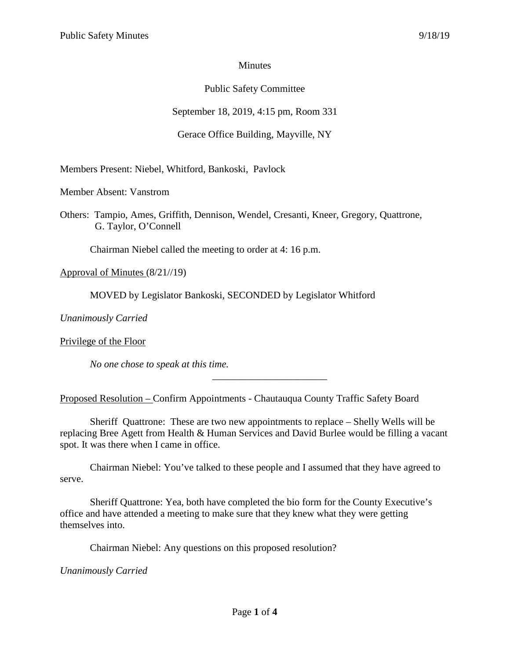## **Minutes**

# Public Safety Committee

# September 18, 2019, 4:15 pm, Room 331

# Gerace Office Building, Mayville, NY

Members Present: Niebel, Whitford, Bankoski, Pavlock

Member Absent: Vanstrom

Others: Tampio, Ames, Griffith, Dennison, Wendel, Cresanti, Kneer, Gregory, Quattrone, G. Taylor, O'Connell

Chairman Niebel called the meeting to order at 4: 16 p.m.

Approval of Minutes (8/21//19)

MOVED by Legislator Bankoski, SECONDED by Legislator Whitford

*Unanimously Carried*

Privilege of the Floor

*No one chose to speak at this time.*

Proposed Resolution – Confirm Appointments - Chautauqua County Traffic Safety Board

Sheriff Quattrone: These are two new appointments to replace – Shelly Wells will be replacing Bree Agett from Health & Human Services and David Burlee would be filling a vacant spot. It was there when I came in office.

\_\_\_\_\_\_\_\_\_\_\_\_\_\_\_\_\_\_\_\_\_\_\_

Chairman Niebel: You've talked to these people and I assumed that they have agreed to serve.

Sheriff Quattrone: Yea, both have completed the bio form for the County Executive's office and have attended a meeting to make sure that they knew what they were getting themselves into.

Chairman Niebel: Any questions on this proposed resolution?

*Unanimously Carried*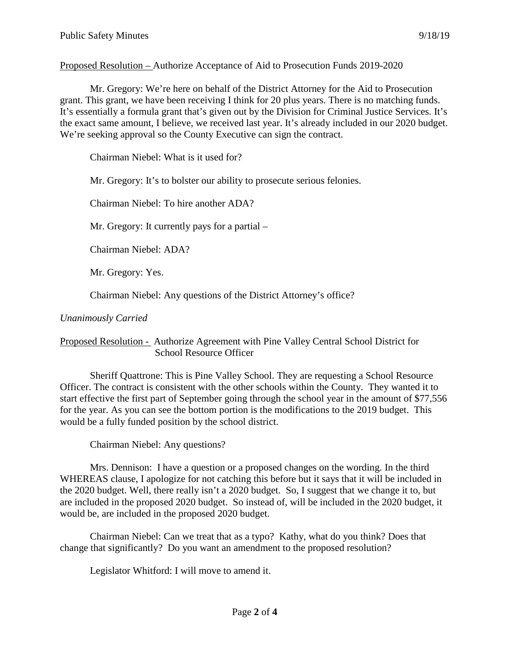Proposed Resolution – Authorize Acceptance of Aid to Prosecution Funds 2019-2020

Mr. Gregory: We're here on behalf of the District Attorney for the Aid to Prosecution grant. This grant, we have been receiving I think for 20 plus years. There is no matching funds. It's essentially a formula grant that's given out by the Division for Criminal Justice Services. It's the exact same amount, I believe, we received last year. It's already included in our 2020 budget. We're seeking approval so the County Executive can sign the contract.

Chairman Niebel: What is it used for?

Mr. Gregory: It's to bolster our ability to prosecute serious felonies.

Chairman Niebel: To hire another ADA?

Mr. Gregory: It currently pays for a partial –

Chairman Niebel: ADA?

Mr. Gregory: Yes.

Chairman Niebel: Any questions of the District Attorney's office?

## *Unanimously Carried*

Proposed Resolution - Authorize Agreement with Pine Valley Central School District for School Resource Officer

Sheriff Quattrone: This is Pine Valley School. They are requesting a School Resource Officer. The contract is consistent with the other schools within the County. They wanted it to start effective the first part of September going through the school year in the amount of \$77,556 for the year. As you can see the bottom portion is the modifications to the 2019 budget. This would be a fully funded position by the school district.

Chairman Niebel: Any questions?

Mrs. Dennison: I have a question or a proposed changes on the wording. In the third WHEREAS clause, I apologize for not catching this before but it says that it will be included in the 2020 budget. Well, there really isn't a 2020 budget. So, I suggest that we change it to, but are included in the proposed 2020 budget. So instead of, will be included in the 2020 budget, it would be, are included in the proposed 2020 budget.

Chairman Niebel: Can we treat that as a typo? Kathy, what do you think? Does that change that significantly? Do you want an amendment to the proposed resolution?

Legislator Whitford: I will move to amend it.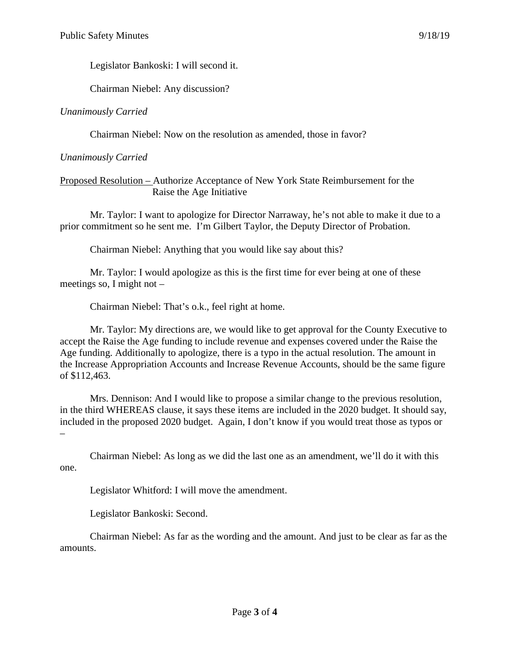Legislator Bankoski: I will second it.

Chairman Niebel: Any discussion?

*Unanimously Carried*

Chairman Niebel: Now on the resolution as amended, those in favor?

## *Unanimously Carried*

Proposed Resolution – Authorize Acceptance of New York State Reimbursement for the Raise the Age Initiative

Mr. Taylor: I want to apologize for Director Narraway, he's not able to make it due to a prior commitment so he sent me. I'm Gilbert Taylor, the Deputy Director of Probation.

Chairman Niebel: Anything that you would like say about this?

Mr. Taylor: I would apologize as this is the first time for ever being at one of these meetings so, I might not –

Chairman Niebel: That's o.k., feel right at home.

Mr. Taylor: My directions are, we would like to get approval for the County Executive to accept the Raise the Age funding to include revenue and expenses covered under the Raise the Age funding. Additionally to apologize, there is a typo in the actual resolution. The amount in the Increase Appropriation Accounts and Increase Revenue Accounts, should be the same figure of \$112,463.

Mrs. Dennison: And I would like to propose a similar change to the previous resolution, in the third WHEREAS clause, it says these items are included in the 2020 budget. It should say, included in the proposed 2020 budget. Again, I don't know if you would treat those as typos or –

Chairman Niebel: As long as we did the last one as an amendment, we'll do it with this one.

Legislator Whitford: I will move the amendment.

Legislator Bankoski: Second.

Chairman Niebel: As far as the wording and the amount. And just to be clear as far as the amounts.